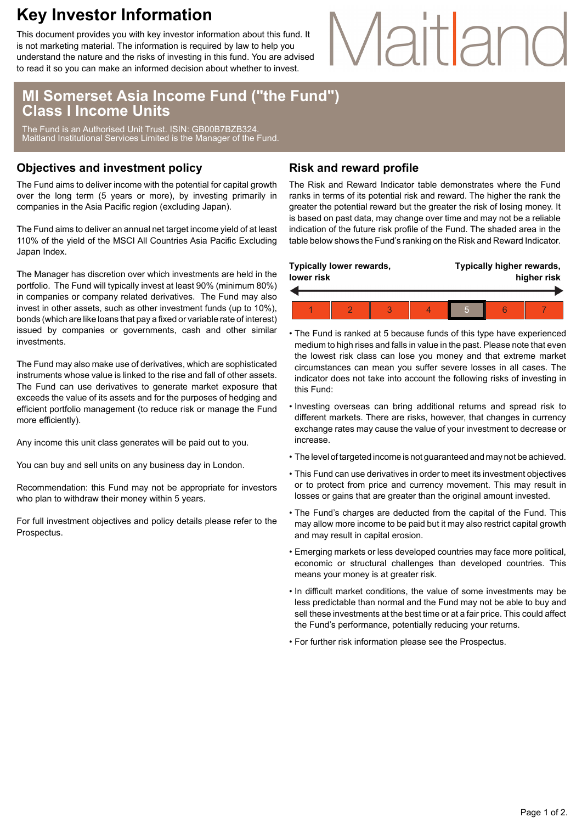## **Key Investor Information**

This document provides you with key investor information about this fund. It is not marketing material. The information is required by law to help you understand the nature and the risks of investing in this fund. You are advised to read it so you can make an informed decision about whether to invest.

# Maitland

### **MI Somerset Asia Income Fund ("the Fund") Class I Income Units**

The Fund is an Authorised Unit Trust. ISIN: GB00B7BZB324. Maitland Institutional Services Limited is the Manager of the Fund.

### **Objectives and investment policy**

The Fund aims to deliver income with the potential for capital growth over the long term (5 years or more), by investing primarily in companies in the Asia Pacific region (excluding Japan).

The Fund aims to deliver an annual net target income yield of at least 110% of the yield of the MSCI All Countries Asia Pacific Excluding Japan Index.

The Manager has discretion over which investments are held in the portfolio. The Fund will typically invest at least 90% (minimum 80%) in companies or company related derivatives. The Fund may also invest in other assets, such as other investment funds (up to 10%), bonds (which are like loans that pay a fixed or variable rate of interest) issued by companies or governments, cash and other similar investments.

The Fund may also make use of derivatives, which are sophisticated instruments whose value is linked to the rise and fall of other assets. The Fund can use derivatives to generate market exposure that exceeds the value of its assets and for the purposes of hedging and efficient portfolio management (to reduce risk or manage the Fund more efficiently).

Any income this unit class generates will be paid out to you.

You can buy and sell units on any business day in London.

Recommendation: this Fund may not be appropriate for investors who plan to withdraw their money within 5 years.

For full investment objectives and policy details please refer to the Prospectus.

### **Risk and reward profile**

The Risk and Reward Indicator table demonstrates where the Fund ranks in terms of its potential risk and reward. The higher the rank the greater the potential reward but the greater the risk of losing money. It is based on past data, may change over time and may not be a reliable indication of the future risk profile of the Fund. The shaded area in the table below shows the Fund's ranking on the Risk and Reward Indicator.

| Typically lower rewards,<br>lower risk |  |  |  | Typically higher rewards,<br>higher risk |  |  |
|----------------------------------------|--|--|--|------------------------------------------|--|--|
|                                        |  |  |  |                                          |  |  |
|                                        |  |  |  | 5                                        |  |  |

- The Fund is ranked at 5 because funds of this type have experienced medium to high rises and falls in value in the past. Please note that even the lowest risk class can lose you money and that extreme market circumstances can mean you suffer severe losses in all cases. The indicator does not take into account the following risks of investing in this Fund:
- Investing overseas can bring additional returns and spread risk to different markets. There are risks, however, that changes in currency exchange rates may cause the value of your investment to decrease or increase.
- The level of targeted income is not guaranteed and may not be achieved.
- This Fund can use derivatives in order to meet its investment objectives or to protect from price and currency movement. This may result in losses or gains that are greater than the original amount invested.
- The Fund's charges are deducted from the capital of the Fund. This may allow more income to be paid but it may also restrict capital growth and may result in capital erosion.
- Emerging markets or less developed countries may face more political, economic or structural challenges than developed countries. This means your money is at greater risk.
- In difficult market conditions, the value of some investments may be less predictable than normal and the Fund may not be able to buy and sell these investments at the best time or at a fair price. This could affect the Fund's performance, potentially reducing your returns.
- For further risk information please see the Prospectus.